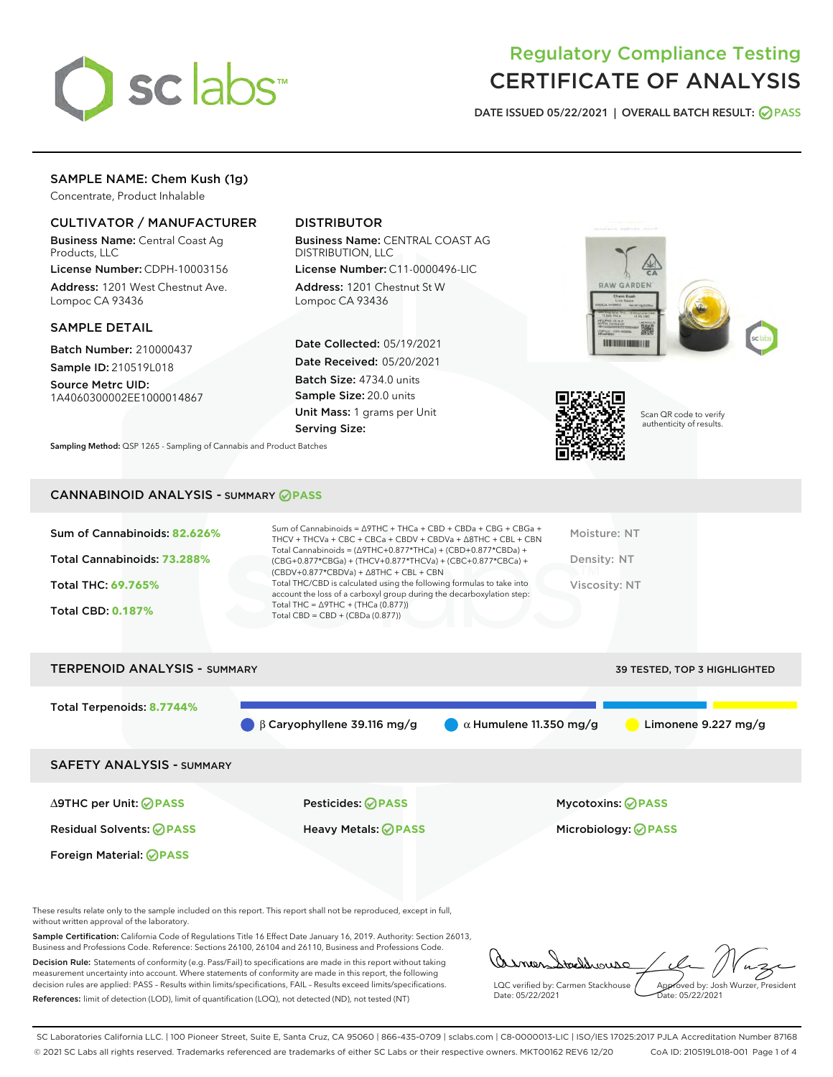

# Regulatory Compliance Testing CERTIFICATE OF ANALYSIS

DATE ISSUED 05/22/2021 | OVERALL BATCH RESULT: @ PASS

# SAMPLE NAME: Chem Kush (1g)

Concentrate, Product Inhalable

# CULTIVATOR / MANUFACTURER

Business Name: Central Coast Ag Products, LLC

License Number: CDPH-10003156 Address: 1201 West Chestnut Ave. Lompoc CA 93436

#### SAMPLE DETAIL

Batch Number: 210000437 Sample ID: 210519L018

Source Metrc UID:

1A4060300002EE1000014867

# DISTRIBUTOR

Business Name: CENTRAL COAST AG DISTRIBUTION, LLC

License Number: C11-0000496-LIC Address: 1201 Chestnut St W Lompoc CA 93436

Date Collected: 05/19/2021 Date Received: 05/20/2021 Batch Size: 4734.0 units Sample Size: 20.0 units Unit Mass: 1 grams per Unit Serving Size:





Scan QR code to verify authenticity of results.

CANNABINOID ANALYSIS - SUMMARY **PASS**

Sampling Method: QSP 1265 - Sampling of Cannabis and Product Batches

| Sum of Cannabinoids: 82.626% | Sum of Cannabinoids = ∆9THC + THCa + CBD + CBDa + CBG + CBGa +<br>THCV + THCVa + CBC + CBCa + CBDV + CBDVa + $\triangle$ 8THC + CBL + CBN                                            | Moisture: NT  |
|------------------------------|--------------------------------------------------------------------------------------------------------------------------------------------------------------------------------------|---------------|
| Total Cannabinoids: 73.288%  | Total Cannabinoids = $(\Delta$ 9THC+0.877*THCa) + (CBD+0.877*CBDa) +<br>(CBG+0.877*CBGa) + (THCV+0.877*THCVa) + (CBC+0.877*CBCa) +<br>$(CBDV+0.877*CBDVa) + \Delta 8THC + CBL + CBN$ | Density: NT   |
| <b>Total THC: 69.765%</b>    | Total THC/CBD is calculated using the following formulas to take into<br>account the loss of a carboxyl group during the decarboxylation step:                                       | Viscosity: NT |
| <b>Total CBD: 0.187%</b>     | Total THC = $\triangle$ 9THC + (THCa (0.877))<br>Total CBD = $CBD + (CBDa (0.877))$                                                                                                  |               |
|                              |                                                                                                                                                                                      |               |

TERPENOID ANALYSIS - SUMMARY 39 TESTED, TOP 3 HIGHLIGHTED

| <b>ILITERIOLE ARALISIS</b> SUPERBI      |                                   |                               | 33 ILSILD, IOP 3 HIGHLIGHTLD  |
|-----------------------------------------|-----------------------------------|-------------------------------|-------------------------------|
| Total Terpenoids: 8.7744%               | $\beta$ Caryophyllene 39.116 mg/g | $\alpha$ Humulene 11.350 mg/g | Limonene $9.227 \text{ mg/g}$ |
| <b>SAFETY ANALYSIS - SUMMARY</b>        |                                   |                               |                               |
| $\triangle$ 9THC per Unit: $\odot$ PASS | Pesticides: ⊘PASS                 |                               | Mycotoxins: ⊘PASS             |
| <b>Residual Solvents: ⊘ PASS</b>        | <b>Heavy Metals: ⊘ PASS</b>       |                               | Microbiology: <b>⊘PASS</b>    |
| Foreign Material: ⊘ PASS                |                                   |                               |                               |

These results relate only to the sample included on this report. This report shall not be reproduced, except in full, without written approval of the laboratory.

Sample Certification: California Code of Regulations Title 16 Effect Date January 16, 2019. Authority: Section 26013, Business and Professions Code. Reference: Sections 26100, 26104 and 26110, Business and Professions Code.

Decision Rule: Statements of conformity (e.g. Pass/Fail) to specifications are made in this report without taking measurement uncertainty into account. Where statements of conformity are made in this report, the following decision rules are applied: PASS – Results within limits/specifications, FAIL – Results exceed limits/specifications. References: limit of detection (LOD), limit of quantification (LOQ), not detected (ND), not tested (NT)

arne tachbourg LQC verified by: Carmen Stackhouse Approved by: Josh Wurzer, President Date: 05/22/2021 Date: 05/22/2021

SC Laboratories California LLC. | 100 Pioneer Street, Suite E, Santa Cruz, CA 95060 | 866-435-0709 | sclabs.com | C8-0000013-LIC | ISO/IES 17025:2017 PJLA Accreditation Number 87168 © 2021 SC Labs all rights reserved. Trademarks referenced are trademarks of either SC Labs or their respective owners. MKT00162 REV6 12/20 CoA ID: 210519L018-001 Page 1 of 4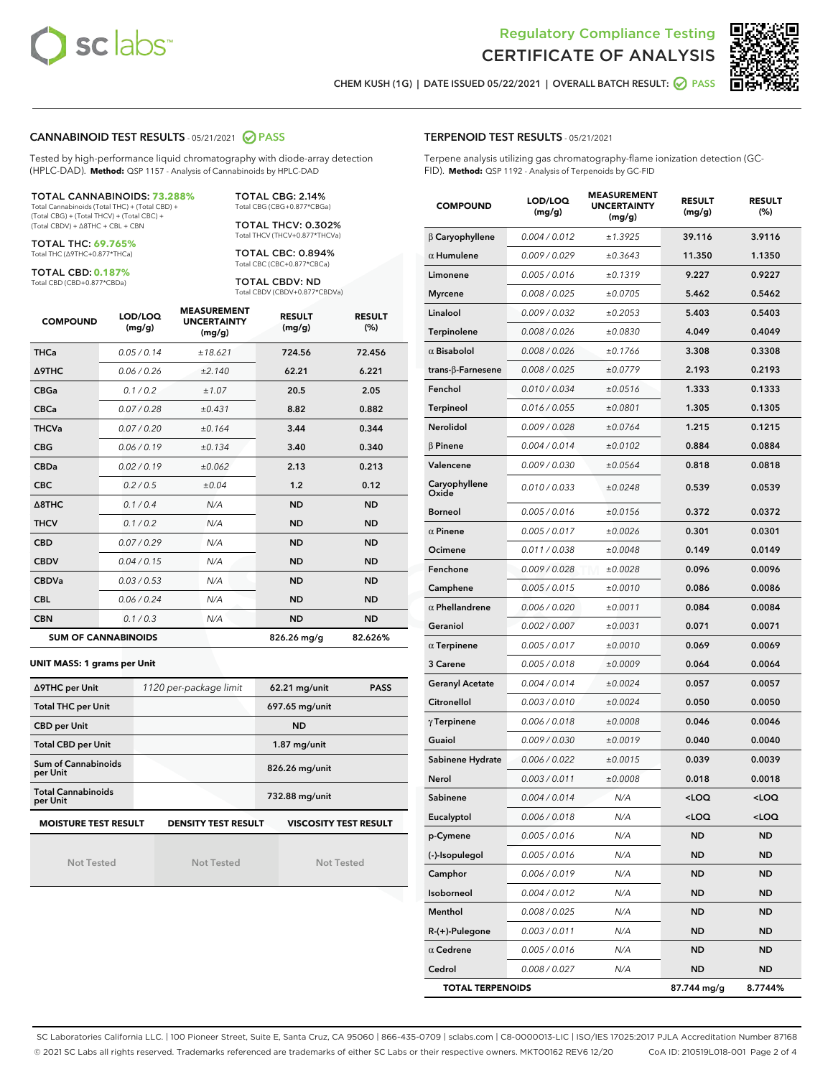



CHEM KUSH (1G) | DATE ISSUED 05/22/2021 | OVERALL BATCH RESULT:  $\bigcirc$  PASS

#### CANNABINOID TEST RESULTS - 05/21/2021 2 PASS

Tested by high-performance liquid chromatography with diode-array detection (HPLC-DAD). **Method:** QSP 1157 - Analysis of Cannabinoids by HPLC-DAD

#### TOTAL CANNABINOIDS: **73.288%** Total Cannabinoids (Total THC) + (Total CBD) +

(Total CBG) + (Total THCV) + (Total CBC) + (Total CBDV) + ∆8THC + CBL + CBN

TOTAL THC: **69.765%** Total THC (∆9THC+0.877\*THCa)

TOTAL CBD: **0.187%**

Total CBD (CBD+0.877\*CBDa)

TOTAL CBG: 2.14% Total CBG (CBG+0.877\*CBGa)

TOTAL THCV: 0.302% Total THCV (THCV+0.877\*THCVa)

TOTAL CBC: 0.894% Total CBC (CBC+0.877\*CBCa)

TOTAL CBDV: ND Total CBDV (CBDV+0.877\*CBDVa)

| <b>COMPOUND</b>            | LOD/LOQ<br>(mg/g) | <b>MEASUREMENT</b><br><b>UNCERTAINTY</b><br>(mg/g) | <b>RESULT</b><br>(mg/g) | <b>RESULT</b><br>(%) |
|----------------------------|-------------------|----------------------------------------------------|-------------------------|----------------------|
| <b>THCa</b>                | 0.05/0.14         | ±18.621                                            | 724.56                  | 72.456               |
| <b>A9THC</b>               | 0.06 / 0.26       | ±2.140                                             | 62.21                   | 6.221                |
| <b>CBGa</b>                | 0.1/0.2           | ±1.07                                              | 20.5                    | 2.05                 |
| <b>CBCa</b>                | 0.07 / 0.28       | ±0.431                                             | 8.82                    | 0.882                |
| <b>THCVa</b>               | 0.07/0.20         | ±0.164                                             | 3.44                    | 0.344                |
| <b>CBG</b>                 | 0.06/0.19         | ±0.134                                             | 3.40                    | 0.340                |
| <b>CBDa</b>                | 0.02/0.19         | ±0.062                                             | 2.13                    | 0.213                |
| <b>CBC</b>                 | 0.2 / 0.5         | ±0.04                                              | 1.2                     | 0.12                 |
| $\triangle$ 8THC           | 0.1 / 0.4         | N/A                                                | <b>ND</b>               | <b>ND</b>            |
| <b>THCV</b>                | 0.1/0.2           | N/A                                                | <b>ND</b>               | <b>ND</b>            |
| <b>CBD</b>                 | 0.07/0.29         | N/A                                                | <b>ND</b>               | <b>ND</b>            |
| <b>CBDV</b>                | 0.04/0.15         | N/A                                                | <b>ND</b>               | <b>ND</b>            |
| <b>CBDVa</b>               | 0.03/0.53         | N/A                                                | <b>ND</b>               | <b>ND</b>            |
| <b>CBL</b>                 | 0.06 / 0.24       | N/A                                                | <b>ND</b>               | <b>ND</b>            |
| <b>CBN</b>                 | 0.1/0.3           | N/A                                                | <b>ND</b>               | <b>ND</b>            |
| <b>SUM OF CANNABINOIDS</b> |                   |                                                    | 826.26 mg/g             | 82.626%              |

#### **UNIT MASS: 1 grams per Unit**

| ∆9THC per Unit                                                                            | 1120 per-package limit | $62.21$ mg/unit<br><b>PASS</b> |  |  |  |
|-------------------------------------------------------------------------------------------|------------------------|--------------------------------|--|--|--|
| <b>Total THC per Unit</b>                                                                 |                        | 697.65 mg/unit                 |  |  |  |
| <b>CBD per Unit</b>                                                                       |                        | <b>ND</b>                      |  |  |  |
| <b>Total CBD per Unit</b>                                                                 |                        | $1.87$ mg/unit                 |  |  |  |
| Sum of Cannabinoids<br>per Unit                                                           |                        | 826.26 mg/unit                 |  |  |  |
| <b>Total Cannabinoids</b><br>per Unit                                                     |                        | 732.88 mg/unit                 |  |  |  |
| <b>VISCOSITY TEST RESULT</b><br><b>MOISTURE TEST RESULT</b><br><b>DENSITY TEST RESULT</b> |                        |                                |  |  |  |

Not Tested

Not Tested

Not Tested

#### TERPENOID TEST RESULTS - 05/21/2021

Terpene analysis utilizing gas chromatography-flame ionization detection (GC-FID). **Method:** QSP 1192 - Analysis of Terpenoids by GC-FID

| <b>COMPOUND</b>           | LOD/LOQ<br>(mg/g) | <b>MEASUREMENT</b><br><b>UNCERTAINTY</b><br>(mg/g) | <b>RESULT</b><br>(mg/g)                          | <b>RESULT</b><br>$(\%)$ |
|---------------------------|-------------------|----------------------------------------------------|--------------------------------------------------|-------------------------|
| $\beta$ Caryophyllene     | 0.004 / 0.012     | ±1.3925                                            | 39.116                                           | 3.9116                  |
| $\alpha$ Humulene         | 0.009/0.029       | ±0.3643                                            | 11.350                                           | 1.1350                  |
| Limonene                  | 0.005 / 0.016     | ±0.1319                                            | 9.227                                            | 0.9227                  |
| <b>Myrcene</b>            | 0.008 / 0.025     | ±0.0705                                            | 5.462                                            | 0.5462                  |
| Linalool                  | 0.009 / 0.032     | ±0.2053                                            | 5.403                                            | 0.5403                  |
| Terpinolene               | 0.008 / 0.026     | ±0.0830                                            | 4.049                                            | 0.4049                  |
| $\alpha$ Bisabolol        | 0.008 / 0.026     | ±0.1766                                            | 3.308                                            | 0.3308                  |
| trans- $\beta$ -Farnesene | 0.008 / 0.025     | ±0.0779                                            | 2.193                                            | 0.2193                  |
| Fenchol                   | 0.010 / 0.034     | ±0.0516                                            | 1.333                                            | 0.1333                  |
| Terpineol                 | 0.016 / 0.055     | ±0.0801                                            | 1.305                                            | 0.1305                  |
| Nerolidol                 | 0.009 / 0.028     | ±0.0764                                            | 1.215                                            | 0.1215                  |
| β Pinene                  | 0.004 / 0.014     | ±0.0102                                            | 0.884                                            | 0.0884                  |
| Valencene                 | 0.009 / 0.030     | ±0.0564                                            | 0.818                                            | 0.0818                  |
| Caryophyllene<br>Oxide    | 0.010 / 0.033     | ±0.0248                                            | 0.539                                            | 0.0539                  |
| <b>Borneol</b>            | 0.005 / 0.016     | ±0.0156                                            | 0.372                                            | 0.0372                  |
| $\alpha$ Pinene           | 0.005 / 0.017     | ±0.0026                                            | 0.301                                            | 0.0301                  |
| Ocimene                   | 0.011 / 0.038     | ±0.0048                                            | 0.149                                            | 0.0149                  |
| Fenchone                  | 0.009 / 0.028     | ±0.0028                                            | 0.096                                            | 0.0096                  |
| Camphene                  | 0.005 / 0.015     | ±0.0010                                            | 0.086                                            | 0.0086                  |
| $\alpha$ Phellandrene     | 0.006 / 0.020     | ±0.0011                                            | 0.084                                            | 0.0084                  |
| Geraniol                  | 0.002 / 0.007     | ±0.0031                                            | 0.071                                            | 0.0071                  |
| $\alpha$ Terpinene        | 0.005 / 0.017     | ±0.0010                                            | 0.069                                            | 0.0069                  |
| 3 Carene                  | 0.005 / 0.018     | ±0.0009                                            | 0.064                                            | 0.0064                  |
| <b>Geranyl Acetate</b>    | 0.004 / 0.014     | ±0.0024                                            | 0.057                                            | 0.0057                  |
| Citronellol               | 0.003 / 0.010     | ±0.0024                                            | 0.050                                            | 0.0050                  |
| $\gamma$ Terpinene        | 0.006 / 0.018     | ±0.0008                                            | 0.046                                            | 0.0046                  |
| Guaiol                    | 0.009/0.030       | ±0.0019                                            | 0.040                                            | 0.0040                  |
| Sabinene Hydrate          | 0.006 / 0.022     | ±0.0015                                            | 0.039                                            | 0.0039                  |
| Nerol                     | 0.003 / 0.011     | ±0.0008                                            | 0.018                                            | 0.0018                  |
| Sabinene                  | 0.004 / 0.014     | N/A                                                | <loq< th=""><th><math>&lt;</math>LOQ</th></loq<> | $<$ LOQ                 |
| Eucalyptol                | 0.006 / 0.018     | N/A                                                | <loq< th=""><th><loq< th=""></loq<></th></loq<>  | <loq< th=""></loq<>     |
| p-Cymene                  | 0.005 / 0.016     | N/A                                                | ND                                               | ND                      |
| (-)-Isopulegol            | 0.005 / 0.016     | N/A                                                | <b>ND</b>                                        | ND                      |
| Camphor                   | 0.006 / 0.019     | N/A                                                | ND                                               | <b>ND</b>               |
| Isoborneol                | 0.004 / 0.012     | N/A                                                | ND                                               | ND                      |
| Menthol                   | 0.008 / 0.025     | N/A                                                | ND                                               | ND                      |
| R-(+)-Pulegone            | 0.003 / 0.011     | N/A                                                | ND                                               | ND                      |
| $\alpha$ Cedrene          | 0.005 / 0.016     | N/A                                                | ND                                               | ND                      |
| Cedrol                    | 0.008 / 0.027     | N/A                                                | <b>ND</b>                                        | <b>ND</b>               |
| <b>TOTAL TERPENOIDS</b>   |                   |                                                    | 87.744 mg/g                                      | 8.7744%                 |

SC Laboratories California LLC. | 100 Pioneer Street, Suite E, Santa Cruz, CA 95060 | 866-435-0709 | sclabs.com | C8-0000013-LIC | ISO/IES 17025:2017 PJLA Accreditation Number 87168 © 2021 SC Labs all rights reserved. Trademarks referenced are trademarks of either SC Labs or their respective owners. MKT00162 REV6 12/20 CoA ID: 210519L018-001 Page 2 of 4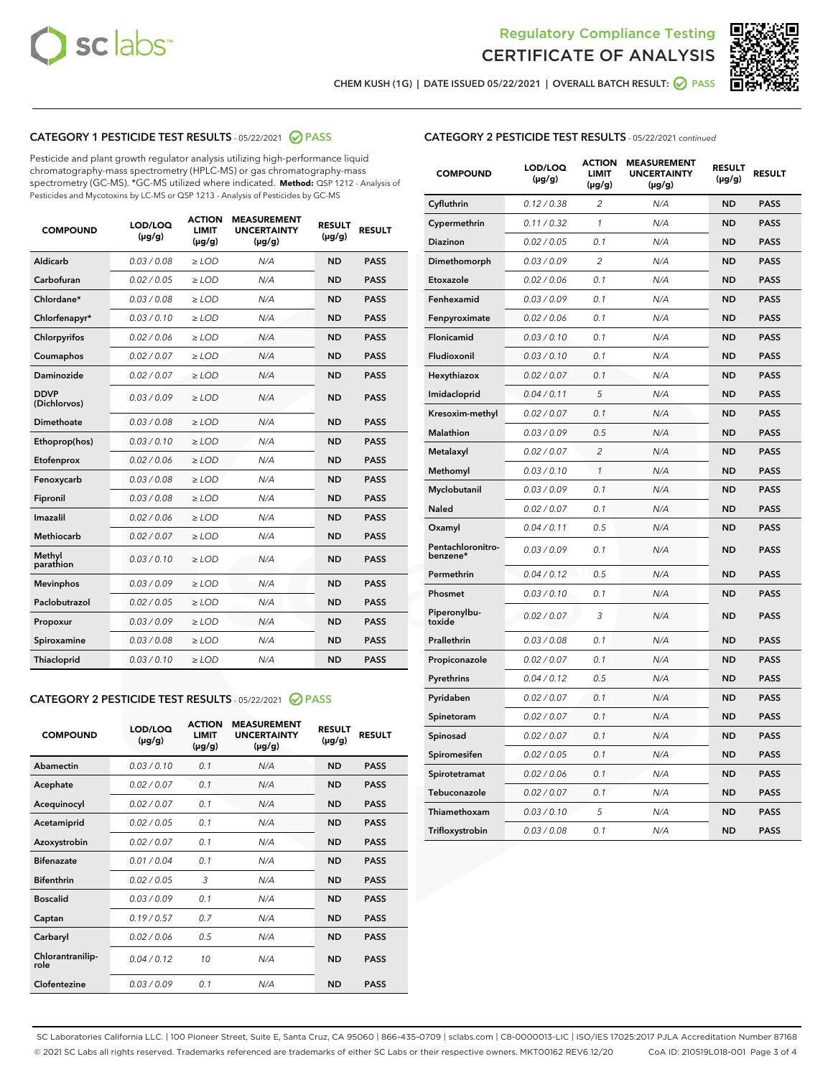



CHEM KUSH (1G) | DATE ISSUED 05/22/2021 | OVERALL BATCH RESULT: ☑ PASS

# CATEGORY 1 PESTICIDE TEST RESULTS - 05/22/2021 2 PASS

Pesticide and plant growth regulator analysis utilizing high-performance liquid chromatography-mass spectrometry (HPLC-MS) or gas chromatography-mass spectrometry (GC-MS). \*GC-MS utilized where indicated. **Method:** QSP 1212 - Analysis of Pesticides and Mycotoxins by LC-MS or QSP 1213 - Analysis of Pesticides by GC-MS

| <b>COMPOUND</b>             | LOD/LOQ<br>$(\mu g/g)$ | <b>ACTION</b><br><b>LIMIT</b><br>$(\mu g/g)$ | <b>MEASUREMENT</b><br><b>UNCERTAINTY</b><br>$(\mu g/g)$ | <b>RESULT</b><br>$(\mu g/g)$ | <b>RESULT</b> |
|-----------------------------|------------------------|----------------------------------------------|---------------------------------------------------------|------------------------------|---------------|
| Aldicarb                    | 0.03/0.08              | $>$ LOD                                      | N/A                                                     | <b>ND</b>                    | <b>PASS</b>   |
| Carbofuran                  | 0.02 / 0.05            | $\ge$ LOD                                    | N/A                                                     | <b>ND</b>                    | <b>PASS</b>   |
| Chlordane*                  | 0.03/0.08              | $>$ LOD                                      | N/A                                                     | <b>ND</b>                    | <b>PASS</b>   |
| Chlorfenapyr*               | 0.03/0.10              | $\ge$ LOD                                    | N/A                                                     | <b>ND</b>                    | <b>PASS</b>   |
| Chlorpyrifos                | 0.02 / 0.06            | $\ge$ LOD                                    | N/A                                                     | <b>ND</b>                    | <b>PASS</b>   |
| Coumaphos                   | 0.02 / 0.07            | $\ge$ LOD                                    | N/A                                                     | <b>ND</b>                    | <b>PASS</b>   |
| Daminozide                  | 0.02 / 0.07            | $\ge$ LOD                                    | N/A                                                     | <b>ND</b>                    | <b>PASS</b>   |
| <b>DDVP</b><br>(Dichlorvos) | 0.03/0.09              | $\ge$ LOD                                    | N/A                                                     | <b>ND</b>                    | <b>PASS</b>   |
| <b>Dimethoate</b>           | 0.03/0.08              | $\ge$ LOD                                    | N/A                                                     | <b>ND</b>                    | <b>PASS</b>   |
| Ethoprop(hos)               | 0.03/0.10              | $\ge$ LOD                                    | N/A                                                     | <b>ND</b>                    | <b>PASS</b>   |
| Etofenprox                  | 0.02 / 0.06            | $\ge$ LOD                                    | N/A                                                     | <b>ND</b>                    | <b>PASS</b>   |
| Fenoxycarb                  | 0.03/0.08              | $\ge$ LOD                                    | N/A                                                     | <b>ND</b>                    | <b>PASS</b>   |
| Fipronil                    | 0.03/0.08              | $>$ LOD                                      | N/A                                                     | <b>ND</b>                    | <b>PASS</b>   |
| Imazalil                    | 0.02 / 0.06            | $>$ LOD                                      | N/A                                                     | <b>ND</b>                    | <b>PASS</b>   |
| <b>Methiocarb</b>           | 0.02 / 0.07            | $\ge$ LOD                                    | N/A                                                     | <b>ND</b>                    | <b>PASS</b>   |
| Methyl<br>parathion         | 0.03/0.10              | $\ge$ LOD                                    | N/A                                                     | <b>ND</b>                    | <b>PASS</b>   |
| <b>Mevinphos</b>            | 0.03/0.09              | $\ge$ LOD                                    | N/A                                                     | <b>ND</b>                    | <b>PASS</b>   |
| Paclobutrazol               | 0.02 / 0.05            | $>$ LOD                                      | N/A                                                     | <b>ND</b>                    | <b>PASS</b>   |
| Propoxur                    | 0.03/0.09              | $\ge$ LOD                                    | N/A                                                     | <b>ND</b>                    | <b>PASS</b>   |
| Spiroxamine                 | 0.03/0.08              | $\ge$ LOD                                    | N/A                                                     | <b>ND</b>                    | <b>PASS</b>   |
| Thiacloprid                 | 0.03/0.10              | $\ge$ LOD                                    | N/A                                                     | <b>ND</b>                    | <b>PASS</b>   |

### CATEGORY 2 PESTICIDE TEST RESULTS - 05/22/2021 @ PASS

| <b>COMPOUND</b>          | LOD/LOQ<br>$(\mu g/g)$ | <b>ACTION</b><br><b>LIMIT</b><br>$(\mu g/g)$ | <b>MEASUREMENT</b><br><b>UNCERTAINTY</b><br>$(\mu g/g)$ | <b>RESULT</b><br>$(\mu g/g)$ | <b>RESULT</b> |
|--------------------------|------------------------|----------------------------------------------|---------------------------------------------------------|------------------------------|---------------|
| Abamectin                | 0.03/0.10              | 0.1                                          | N/A                                                     | <b>ND</b>                    | <b>PASS</b>   |
| Acephate                 | 0.02/0.07              | 0.1                                          | N/A                                                     | <b>ND</b>                    | <b>PASS</b>   |
| Acequinocyl              | 0.02/0.07              | 0.1                                          | N/A                                                     | <b>ND</b>                    | <b>PASS</b>   |
| Acetamiprid              | 0.02/0.05              | 0.1                                          | N/A                                                     | <b>ND</b>                    | <b>PASS</b>   |
| Azoxystrobin             | 0 02 / 0 07            | 0.1                                          | N/A                                                     | <b>ND</b>                    | <b>PASS</b>   |
| <b>Bifenazate</b>        | 0.01/0.04              | 0.1                                          | N/A                                                     | <b>ND</b>                    | <b>PASS</b>   |
| <b>Bifenthrin</b>        | 0.02 / 0.05            | 3                                            | N/A                                                     | <b>ND</b>                    | <b>PASS</b>   |
| <b>Boscalid</b>          | 0.03/0.09              | 0.1                                          | N/A                                                     | <b>ND</b>                    | <b>PASS</b>   |
| Captan                   | 0.19/0.57              | 0.7                                          | N/A                                                     | <b>ND</b>                    | <b>PASS</b>   |
| Carbaryl                 | 0.02/0.06              | 0.5                                          | N/A                                                     | <b>ND</b>                    | <b>PASS</b>   |
| Chlorantranilip-<br>role | 0.04/0.12              | 10                                           | N/A                                                     | <b>ND</b>                    | <b>PASS</b>   |
| Clofentezine             | 0.03/0.09              | 0.1                                          | N/A                                                     | <b>ND</b>                    | <b>PASS</b>   |

## CATEGORY 2 PESTICIDE TEST RESULTS - 05/22/2021 continued

| <b>COMPOUND</b>               | LOD/LOQ<br>(µg/g) | <b>ACTION</b><br><b>LIMIT</b><br>$(\mu g/g)$ | <b>MEASUREMENT</b><br><b>UNCERTAINTY</b><br>$(\mu g/g)$ | <b>RESULT</b><br>$(\mu g/g)$ | <b>RESULT</b> |
|-------------------------------|-------------------|----------------------------------------------|---------------------------------------------------------|------------------------------|---------------|
| Cyfluthrin                    | 0.12 / 0.38       | $\overline{c}$                               | N/A                                                     | <b>ND</b>                    | <b>PASS</b>   |
| Cypermethrin                  | 0.11 / 0.32       | 1                                            | N/A                                                     | <b>ND</b>                    | <b>PASS</b>   |
| Diazinon                      | 0.02 / 0.05       | 0.1                                          | N/A                                                     | <b>ND</b>                    | <b>PASS</b>   |
| Dimethomorph                  | 0.03 / 0.09       | $\overline{c}$                               | N/A                                                     | <b>ND</b>                    | <b>PASS</b>   |
| Etoxazole                     | 0.02 / 0.06       | 0.1                                          | N/A                                                     | <b>ND</b>                    | <b>PASS</b>   |
| Fenhexamid                    | 0.03 / 0.09       | 0.1                                          | N/A                                                     | <b>ND</b>                    | <b>PASS</b>   |
| Fenpyroximate                 | 0.02 / 0.06       | 0.1                                          | N/A                                                     | <b>ND</b>                    | <b>PASS</b>   |
| Flonicamid                    | 0.03 / 0.10       | 0.1                                          | N/A                                                     | <b>ND</b>                    | <b>PASS</b>   |
| Fludioxonil                   | 0.03 / 0.10       | 0.1                                          | N/A                                                     | <b>ND</b>                    | <b>PASS</b>   |
| Hexythiazox                   | 0.02 / 0.07       | 0.1                                          | N/A                                                     | <b>ND</b>                    | <b>PASS</b>   |
| Imidacloprid                  | 0.04 / 0.11       | 5                                            | N/A                                                     | <b>ND</b>                    | <b>PASS</b>   |
| Kresoxim-methyl               | 0.02 / 0.07       | 0.1                                          | N/A                                                     | <b>ND</b>                    | <b>PASS</b>   |
| <b>Malathion</b>              | 0.03 / 0.09       | 0.5                                          | N/A                                                     | <b>ND</b>                    | <b>PASS</b>   |
| Metalaxyl                     | 0.02 / 0.07       | $\overline{c}$                               | N/A                                                     | <b>ND</b>                    | <b>PASS</b>   |
| Methomyl                      | 0.03 / 0.10       | $\mathbf{1}$                                 | N/A                                                     | <b>ND</b>                    | <b>PASS</b>   |
| Myclobutanil                  | 0.03 / 0.09       | 0.1                                          | N/A                                                     | <b>ND</b>                    | <b>PASS</b>   |
| Naled                         | 0.02 / 0.07       | 0.1                                          | N/A                                                     | <b>ND</b>                    | <b>PASS</b>   |
| Oxamyl                        | 0.04 / 0.11       | 0.5                                          | N/A                                                     | <b>ND</b>                    | <b>PASS</b>   |
| Pentachloronitro-<br>benzene* | 0.03 / 0.09       | 0.1                                          | N/A                                                     | <b>ND</b>                    | <b>PASS</b>   |
| Permethrin                    | 0.04 / 0.12       | 0.5                                          | N/A                                                     | <b>ND</b>                    | <b>PASS</b>   |
| Phosmet                       | 0.03 / 0.10       | 0.1                                          | N/A                                                     | <b>ND</b>                    | <b>PASS</b>   |
| Piperonylbu-<br>toxide        | 0.02 / 0.07       | 3                                            | N/A                                                     | <b>ND</b>                    | <b>PASS</b>   |
| Prallethrin                   | 0.03 / 0.08       | 0.1                                          | N/A                                                     | <b>ND</b>                    | <b>PASS</b>   |
| Propiconazole                 | 0.02 / 0.07       | 0.1                                          | N/A                                                     | <b>ND</b>                    | <b>PASS</b>   |
| Pyrethrins                    | 0.04 / 0.12       | 0.5                                          | N/A                                                     | <b>ND</b>                    | <b>PASS</b>   |
| Pyridaben                     | 0.02 / 0.07       | 0.1                                          | N/A                                                     | <b>ND</b>                    | <b>PASS</b>   |
| Spinetoram                    | 0.02 / 0.07       | 0.1                                          | N/A                                                     | <b>ND</b>                    | <b>PASS</b>   |
| Spinosad                      | 0.02 / 0.07       | 0.1                                          | N/A                                                     | ND                           | <b>PASS</b>   |
| Spiromesifen                  | 0.02 / 0.05       | 0.1                                          | N/A                                                     | <b>ND</b>                    | <b>PASS</b>   |
| Spirotetramat                 | 0.02 / 0.06       | 0.1                                          | N/A                                                     | <b>ND</b>                    | <b>PASS</b>   |
| Tebuconazole                  | 0.02 / 0.07       | 0.1                                          | N/A                                                     | ND                           | <b>PASS</b>   |
| Thiamethoxam                  | 0.03 / 0.10       | 5                                            | N/A                                                     | <b>ND</b>                    | <b>PASS</b>   |
| Trifloxystrobin               | 0.03 / 0.08       | 0.1                                          | N/A                                                     | <b>ND</b>                    | <b>PASS</b>   |

SC Laboratories California LLC. | 100 Pioneer Street, Suite E, Santa Cruz, CA 95060 | 866-435-0709 | sclabs.com | C8-0000013-LIC | ISO/IES 17025:2017 PJLA Accreditation Number 87168 © 2021 SC Labs all rights reserved. Trademarks referenced are trademarks of either SC Labs or their respective owners. MKT00162 REV6 12/20 CoA ID: 210519L018-001 Page 3 of 4